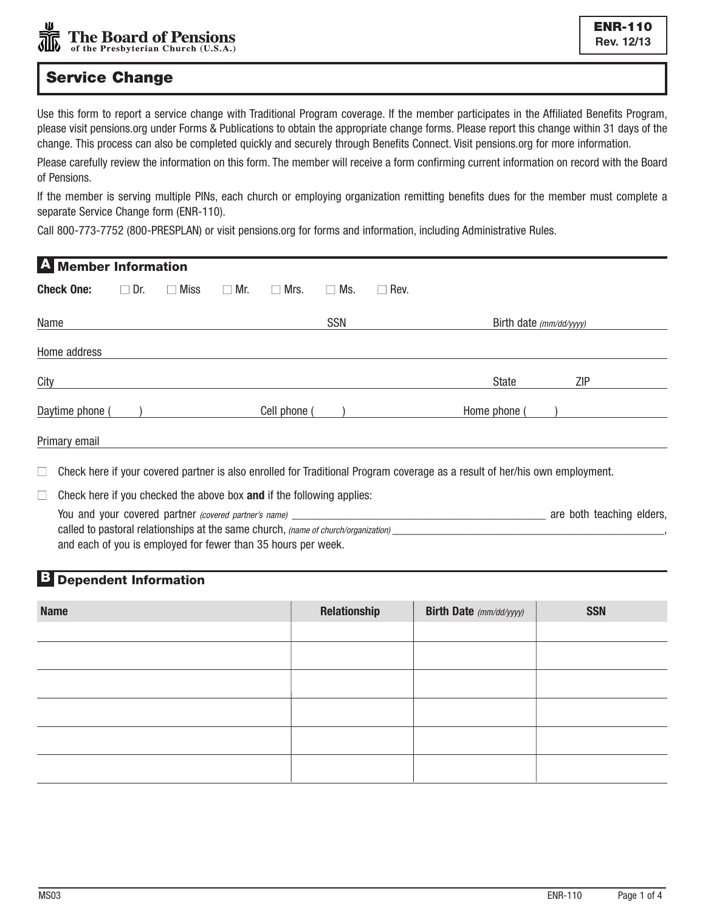# Service Change

Use this form to report a service change with Traditional Program coverage. If the member participates in the Affiliated Benefits Program, please visit pensions.org under Forms & Publications to obtain the appropriate change forms. Please report this change within 31 days of the change. This process can also be completed quickly and securely through Benefits Connect. Visit pensions.org for more information.

Please carefully review the information on this form. The member will receive a form confirming current information on record with the Board of Pensions.

If the member is serving multiple PINs, each church or employing organization remitting benefits dues for the member must complete a separate Service Change form (ENR-110).

Call 800-773-7752 (800-PRESPLAN) or visit pensions.org for forms and information, including Administrative Rules.

| <b>Check One:</b>                                                               | $\Box$ Dr. | $\Box$ Miss     | Mr.                                                       | Mrs.<br>$\Box$ | $\Box$ Ms. | $\Box$ Rev.                                                                   |                         |                                                                                                                             |
|---------------------------------------------------------------------------------|------------|-----------------|-----------------------------------------------------------|----------------|------------|-------------------------------------------------------------------------------|-------------------------|-----------------------------------------------------------------------------------------------------------------------------|
| Name                                                                            |            |                 |                                                           |                | <b>SSN</b> |                                                                               | Birth date (mm/dd/yyyy) |                                                                                                                             |
| Home address                                                                    |            |                 |                                                           |                |            |                                                                               |                         |                                                                                                                             |
|                                                                                 |            |                 |                                                           |                |            |                                                                               | State                   | ZIP                                                                                                                         |
|                                                                                 |            |                 |                                                           |                |            |                                                                               | Home phone (            |                                                                                                                             |
| Primary email                                                                   |            |                 |                                                           |                |            |                                                                               |                         |                                                                                                                             |
|                                                                                 |            |                 |                                                           |                |            |                                                                               |                         |                                                                                                                             |
| Check here if you checked the above box and if the following applies:<br>$\Box$ |            |                 |                                                           |                |            |                                                                               |                         |                                                                                                                             |
|                                                                                 |            |                 |                                                           |                |            |                                                                               |                         |                                                                                                                             |
|                                                                                 |            |                 |                                                           |                |            |                                                                               |                         |                                                                                                                             |
|                                                                                 |            |                 |                                                           |                |            |                                                                               |                         |                                                                                                                             |
|                                                                                 |            |                 |                                                           |                |            |                                                                               |                         |                                                                                                                             |
|                                                                                 |            | Daytime phone ( | <b>Member Information</b><br><b>Dependent Information</b> |                |            | Cell phone (<br>and each of you is employed for fewer than 35 hours per week. |                         | Check here if your covered partner is also enrolled for Traditional Program coverage as a result of her/his own employment. |

| <b>Name</b> | Relationship | <b>Birth Date</b> (mm/dd/yyyy) | <b>SSN</b> |
|-------------|--------------|--------------------------------|------------|
|             |              |                                |            |
|             |              |                                |            |
|             |              |                                |            |
|             |              |                                |            |
|             |              |                                |            |
|             |              |                                |            |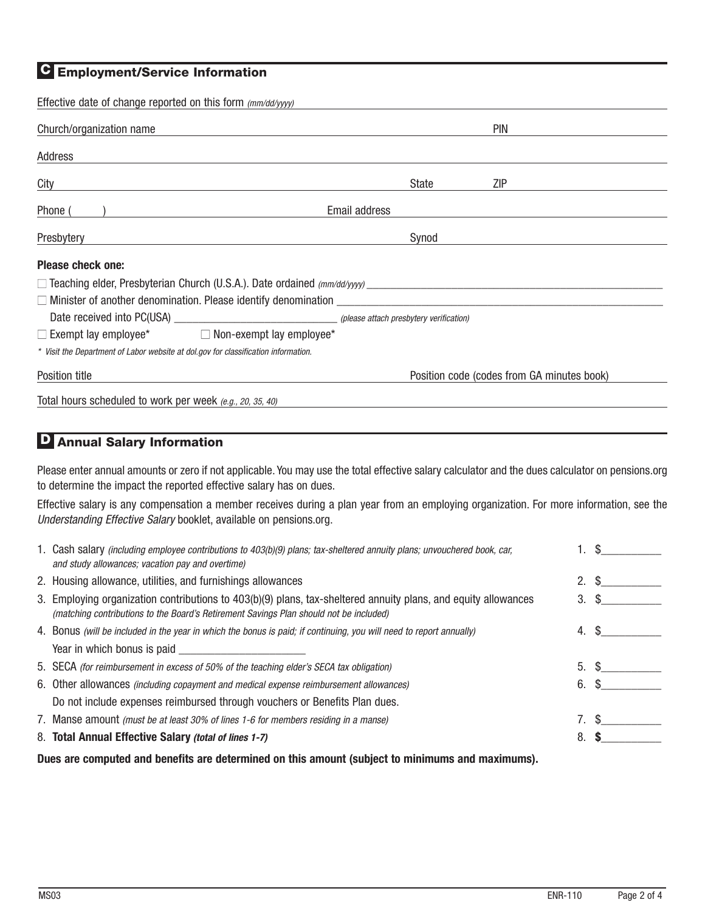### **C** Employment/Service Information

| Effective date of change reported on this form (mm/dd/yyyy)                                                                                                                                                                                                      |                                            |
|------------------------------------------------------------------------------------------------------------------------------------------------------------------------------------------------------------------------------------------------------------------|--------------------------------------------|
| Church/organization name                                                                                                                                                                                                                                         | <b>PIN</b>                                 |
| Address                                                                                                                                                                                                                                                          |                                            |
| City                                                                                                                                                                                                                                                             | State<br>ZIP                               |
| Phone (                                                                                                                                                                                                                                                          | Email address                              |
| Presbytery                                                                                                                                                                                                                                                       | Synod                                      |
| Please check one:                                                                                                                                                                                                                                                |                                            |
| $\Box$ Teaching elder, Presbyterian Church (U.S.A.). Date ordained $\langle mm/dd\langle yyyy\rangle$                                                                                                                                                            |                                            |
| $\Box$ Minister of another denomination. Please identify denomination $\Box$ and $\Box$ and $\Box$ and $\Box$ and $\Box$ and $\Box$ and $\Box$ and $\Box$ and $\Box$ and $\Box$ and $\Box$ and $\Box$ and $\Box$ and $\Box$ and $\Box$ and $\Box$ and $\Box$ and |                                            |
|                                                                                                                                                                                                                                                                  |                                            |
| $\Box$ Exempt lay employee* $\Box$ Non-exempt lay employee*                                                                                                                                                                                                      |                                            |
| * Visit the Department of Labor website at dol.gov for classification information.                                                                                                                                                                               |                                            |
| Position title                                                                                                                                                                                                                                                   | Position code (codes from GA minutes book) |
| Total hours scheduled to work per week (e.g., 20, 35, 40)                                                                                                                                                                                                        |                                            |

## D Annual Salary Information

Please enter annual amounts or zero if not applicable. You may use the total effective salary calculator and the dues calculator on pensions.org to determine the impact the reported effective salary has on dues.

Effective salary is any compensation a member receives during a plan year from an employing organization. For more information, see the Understanding Effective Salary booklet, available on pensions.org.

| Dues are computed and benefits are determined on this amount (subject to minimums and maximums). |                                                                                                                                                                              |            |     |
|--------------------------------------------------------------------------------------------------|------------------------------------------------------------------------------------------------------------------------------------------------------------------------------|------------|-----|
|                                                                                                  | 8. Total Annual Effective Salary (total of lines 1-7)                                                                                                                        | 8.         |     |
|                                                                                                  | 7. Manse amount <i>(must be at least 30% of lines 1-6 for members residing in a manse)</i>                                                                                   |            | S.  |
|                                                                                                  | Do not include expenses reimbursed through vouchers or Benefits Plan dues.                                                                                                   |            |     |
|                                                                                                  | 6. Other allowances <i>(including copayment and medical expense reimbursement allowances)</i>                                                                                | 6.         | \$. |
|                                                                                                  | 5. SECA (for reimbursement in excess of 50% of the teaching elder's SECA tax obligation)                                                                                     | 5. S       |     |
|                                                                                                  |                                                                                                                                                                              |            |     |
|                                                                                                  | 4. Bonus (will be included in the year in which the bonus is paid; if continuing, you will need to report annually)                                                          | 4.         | S.  |
|                                                                                                  | (matching contributions to the Board's Retirement Savings Plan should not be included)                                                                                       |            |     |
|                                                                                                  | 3. Employing organization contributions to 403(b)(9) plans, tax-sheltered annuity plans, and equity allowances                                                               | $3. \ S$   |     |
|                                                                                                  | 2. Housing allowance, utilities, and furnishings allowances                                                                                                                  | $2. \,$ \$ |     |
|                                                                                                  | 1. Cash salary (including employee contributions to 403(b)(9) plans; tax-sheltered annuity plans; unvouchered book, car,<br>and study allowances; vacation pay and overtime) |            |     |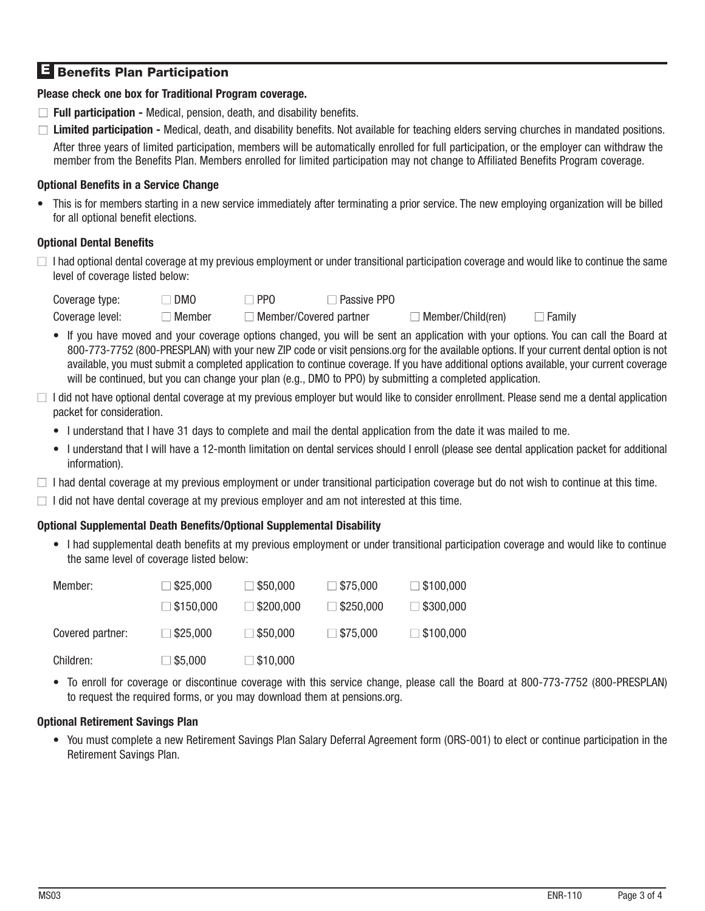## **E** Benefits Plan Participation

### **Please check one box for Traditional Program coverage.**

- □ **Full participation -** Medical, pension, death, and disability benefits.
- **■ Limited participation** Medical, death, and disability benefits. Not available for teaching elders serving churches in mandated positions. After three years of limited participation, members will be automatically enrolled for full participation, or the employer can withdraw the member from the Benefits Plan. Members enrolled for limited participation may not change to Affiliated Benefits Program coverage.

### **Optional Benefits in a Service Change**

• This is for members starting in a new service immediately after terminating a prior service. The new employing organization will be billed for all optional benefit elections.

### **Optional Dental Benefits**

**■** I had optional dental coverage at my previous employment or under transitional participation coverage and would like to continue the same level of coverage listed below:

Coverage type: **■** DMO **■** PPO **■** Passive PPO Coverage level: **■** Member **■** Member/Covered partner **■** Member/Child(ren) **■** Family

- If you have moved and your coverage options changed, you will be sent an application with your options. You can call the Board at 800-773-7752 (800-PRESPLAN) with your new ZIP code or visit pensions.org for the available options. If your current dental option is not available, you must submit a completed application to continue coverage. If you have additional options available, your current coverage will be continued, but you can change your plan (e.g., DMO to PPO) by submitting a completed application.
- **■** I did not have optional dental coverage at my previous employer but would like to consider enrollment. Please send me a dental application packet for consideration.
	- I understand that I have 31 days to complete and mail the dental application from the date it was mailed to me.
	- I understand that I will have a 12-month limitation on dental services should I enroll (please see dental application packet for additional information).
- **■** I had dental coverage at my previous employment or under transitional participation coverage but do not wish to continue at this time.
- $\Box$  I did not have dental coverage at my previous employer and am not interested at this time.

#### **Optional Supplemental Death Benefits/Optional Supplemental Disability**

• I had supplemental death benefits at my previous employment or under transitional participation coverage and would like to continue the same level of coverage listed below:

| Member:          | $\Box$ \$25,000  | $\square$ \$50,000 | $\Box$ \$75,000  | $\Box$ \$100,000 |
|------------------|------------------|--------------------|------------------|------------------|
|                  | $\Box$ \$150,000 | $\Box$ \$200,000   | $\Box$ \$250,000 | $\Box$ \$300,000 |
| Covered partner: | $\Box$ \$25,000  | $\Box$ \$50,000    | $\Box$ \$75,000  | $\Box$ \$100,000 |
| Children:        | $\Box$ \$5,000   | $\square$ \$10,000 |                  |                  |

• To enroll for coverage or discontinue coverage with this service change, please call the Board at 800-773-7752 (800-PRESPLAN) to request the required forms, or you may download them at pensions.org.

#### **Optional Retirement Savings Plan**

• You must complete a new Retirement Savings Plan Salary Deferral Agreement form (ORS-001) to elect or continue participation in the Retirement Savings Plan.